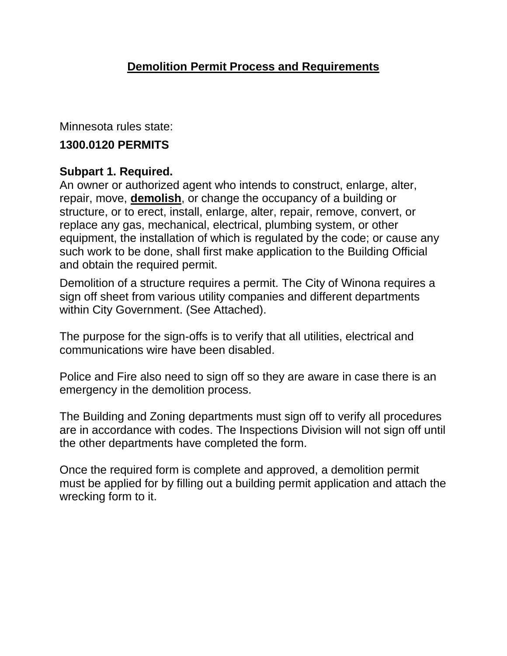Minnesota rules state:

## **1300.0120 PERMITS**

## **Subpart 1. Required.**

An owner or authorized agent who intends to construct, enlarge, alter, repair, move, **demolish**, or change the occupancy of a building or structure, or to erect, install, enlarge, alter, repair, remove, convert, or replace any gas, mechanical, electrical, plumbing system, or other equipment, the installation of which is regulated by the code; or cause any such work to be done, shall first make application to the Building Official and obtain the required permit.

Demolition of a structure requires a permit. The City of Winona requires a sign off sheet from various utility companies and different departments within City Government. (See Attached).

The purpose for the sign-offs is to verify that all utilities, electrical and communications wire have been disabled.

Police and Fire also need to sign off so they are aware in case there is an emergency in the demolition process.

The Building and Zoning departments must sign off to verify all procedures are in accordance with codes. The Inspections Division will not sign off until the other departments have completed the form.

Once the required form is complete and approved, a demolition permit must be applied for by filling out a building permit application and attach the wrecking form to it.